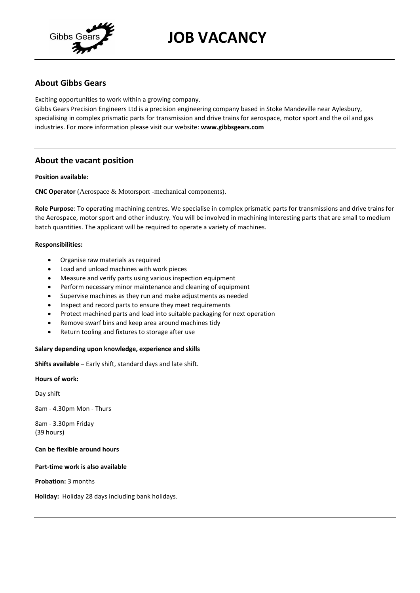

# **JOB VACANCY**

# **About Gibbs Gears**

Exciting opportunities to work within a growing company.

Gibbs Gears Precision Engineers Ltd is a precision engineering company based in Stoke Mandeville near Aylesbury, specialising in complex prismatic parts for transmission and drive trains for aerospace, motor sport and the oil and gas industries. For more information please visit our website: **www.gibbsgears.com**

## **About the vacant position**

## **Position available:**

**CNC Operator** (Aerospace & Motorsport -mechanical components).

**Role Purpose**: To operating machining centres. We specialise in complex prismatic parts for transmissions and drive trains for the Aerospace, motor sport and other industry. You will be involved in machining Interesting parts that are small to medium batch quantities. The applicant will be required to operate a variety of machines.

### **Responsibilities:**

- Organise raw materials as required
- Load and unload machines with work pieces
- Measure and verify parts using various inspection equipment
- Perform necessary minor maintenance and cleaning of equipment
- Supervise machines as they run and make adjustments as needed
- Inspect and record parts to ensure they meet requirements
- Protect machined parts and load into suitable packaging for next operation
- Remove swarf bins and keep area around machines tidy
- Return tooling and fixtures to storage after use

### **Salary depending upon knowledge, experience and skills**

**Shifts available –** Early shift, standard days and late shift.

### **Hours of work:**

Day shift

8am - 4.30pm Mon - Thurs

8am - 3.30pm Friday (39 hours)

### **Can be flexible around hours**

**Part-time work is also available**

**Probation:** 3 months

**Holiday:** Holiday 28 days including bank holidays.